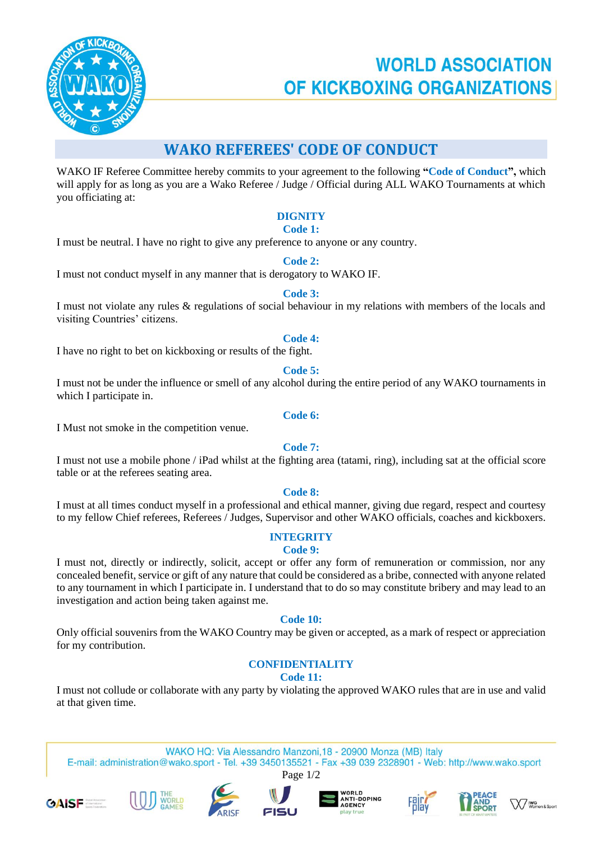

# **WORLD ASSOCIATION** OF KICKBOXING ORGANIZATIONS

# **WAKO REFEREES' CODE OF CONDUCT**

WAKO IF Referee Committee hereby commits to your agreement to the following **"Code of Conduct",** which will apply for as long as you are a Wako Referee / Judge / Official during ALL WAKO Tournaments at which you officiating at:

# **DIGNITY**

### **Code 1:**

I must be neutral. I have no right to give any preference to anyone or any country.

### **Code 2:**

I must not conduct myself in any manner that is derogatory to WAKO IF.

### **Code 3:**

I must not violate any rules & regulations of social behaviour in my relations with members of the locals and visiting Countries' citizens.

### **Code 4:**

I have no right to bet on kickboxing or results of the fight.

### **Code 5:**

I must not be under the influence or smell of any alcohol during the entire period of any WAKO tournaments in which I participate in.

#### **Code 6:**

I Must not smoke in the competition venue.

### **Code 7:**

I must not use a mobile phone / iPad whilst at the fighting area (tatami, ring), including sat at the official score table or at the referees seating area.

### **Code 8:**

I must at all times conduct myself in a professional and ethical manner, giving due regard, respect and courtesy to my fellow Chief referees, Referees / Judges, Supervisor and other WAKO officials, coaches and kickboxers.

# **INTEGRITY**

#### **Code 9:**

I must not, directly or indirectly, solicit, accept or offer any form of remuneration or commission, nor any concealed benefit, service or gift of any nature that could be considered as a bribe, connected with anyone related to any tournament in which I participate in. I understand that to do so may constitute bribery and may lead to an investigation and action being taken against me.

**Code 10:**

Only official souvenirs from the WAKO Country may be given or accepted, as a mark of respect or appreciation for my contribution.

# **CONFIDENTIALITY**

**Code 11:**

I must not collude or collaborate with any party by violating the approved WAKO rules that are in use and valid at that given time.

WAKO HQ: Via Alessandro Manzoni, 18 - 20900 Monza (MB) Italy E-mail: administration@wako.sport - Tel. +39 3450135521 - Fax +39 039 2328901 - Web: http://www.wako.sport Page 1/2